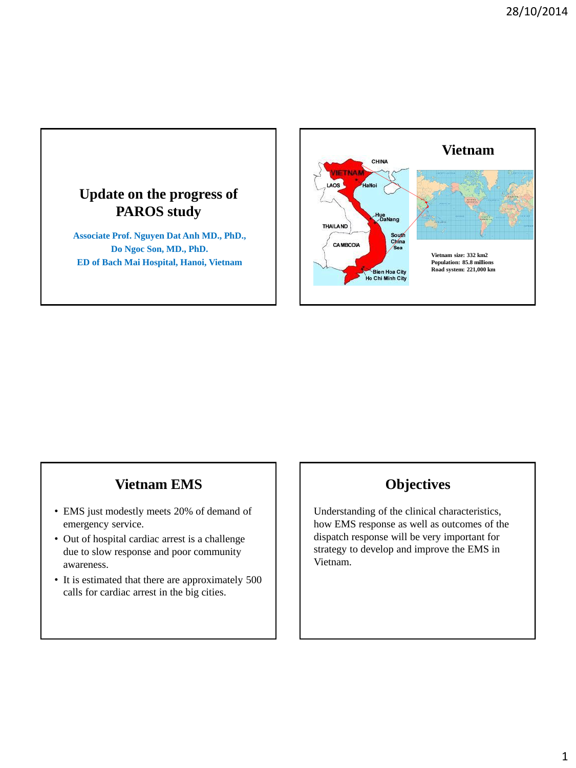

### **Vietnam EMS**

- EMS just modestly meets 20% of demand of emergency service.
- Out of hospital cardiac arrest is a challenge due to slow response and poor community awareness.
- It is estimated that there are approximately 500 calls for cardiac arrest in the big cities.

### **Objectives**

Understanding of the clinical characteristics, how EMS response as well as outcomes of the dispatch response will be very important for strategy to develop and improve the EMS in Vietnam.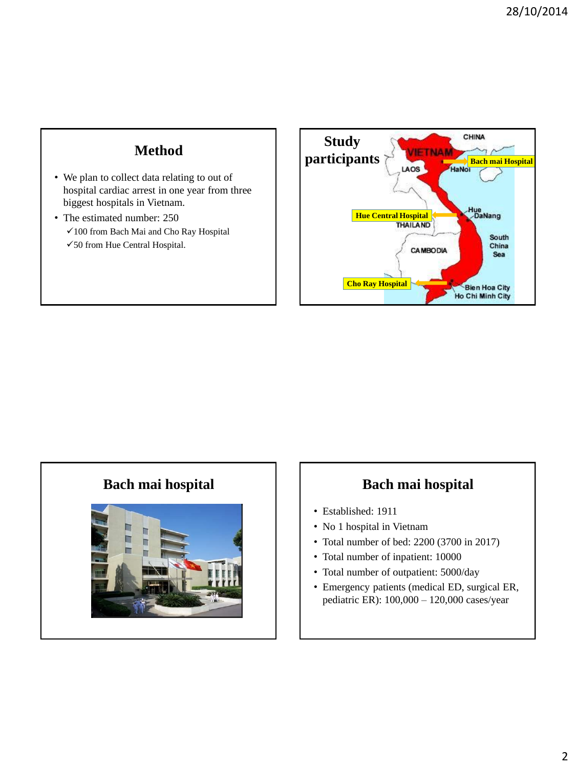## **Method**

- We plan to collect data relating to out of hospital cardiac arrest in one year from three biggest hospitals in Vietnam.
- The estimated number: 250 100 from Bach Mai and Cho Ray Hospital 50 from Hue Central Hospital.



### **Bach mai hospital Bach mai hospital**



- Established: 1911
- No 1 hospital in Vietnam
- Total number of bed: 2200 (3700 in 2017)
- Total number of inpatient: 10000
- Total number of outpatient: 5000/day
- Emergency patients (medical ED, surgical ER, pediatric ER): 100,000 – 120,000 cases/year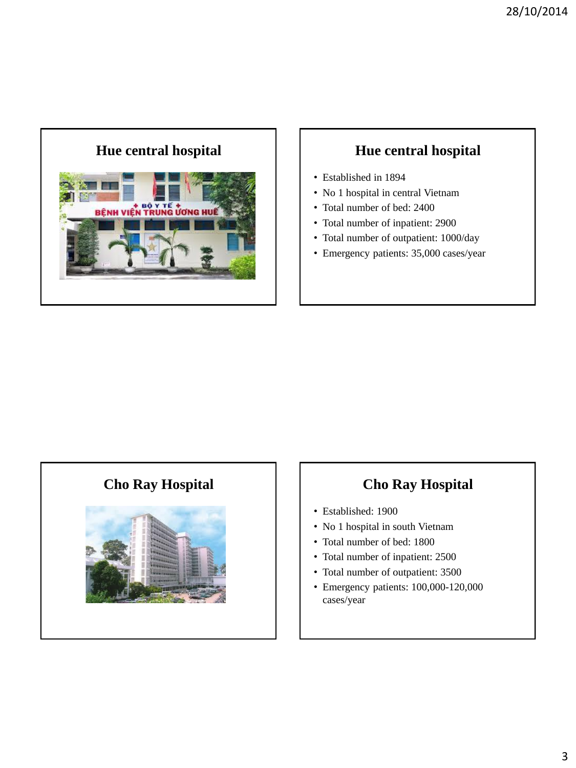# **Hue central hospital Hue central hospital**



- Established in 1894
- No 1 hospital in central Vietnam
- Total number of bed: 2400
- Total number of inpatient: 2900
- Total number of outpatient: 1000/day
- Emergency patients: 35,000 cases/year



### **Cho Ray Hospital Cho Ray Hospital**

- Established: 1900
- No 1 hospital in south Vietnam
- Total number of bed: 1800
- Total number of inpatient: 2500
- Total number of outpatient: 3500
- Emergency patients: 100,000-120,000 cases/year